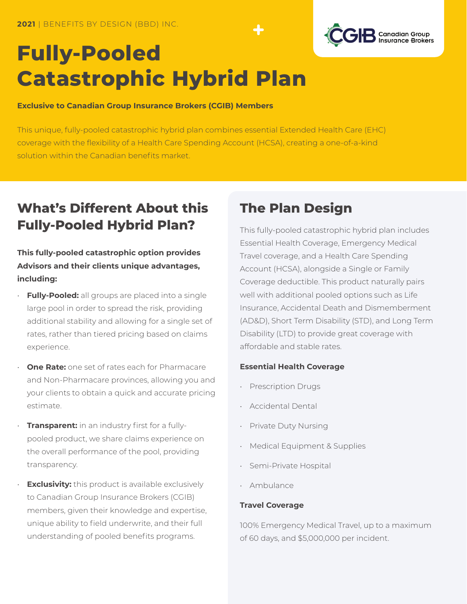

# **Fully-Pooled Catastrophic Hybrid Plan**

#### **Exclusive to Canadian Group Insurance Brokers (CGIB) Members**

This unique, fully-pooled catastrophic hybrid plan combines essential Extended Health Care (EHC) coverage with the flexibility of a Health Care Spending Account (HCSA), creating a one-of-a-kind solution within the Canadian benefits market.

## **What's Different About this Fully-Pooled Hybrid Plan?**

**This fully-pooled catastrophic option provides Advisors and their clients unique advantages, including:**

- **Fully-Pooled:** all groups are placed into a single large pool in order to spread the risk, providing additional stability and allowing for a single set of rates, rather than tiered pricing based on claims experience.
- **One Rate:** one set of rates each for Pharmacare and Non-Pharmacare provinces, allowing you and your clients to obtain a quick and accurate pricing estimate.
- **Transparent:** in an industry first for a fullypooled product, we share claims experience on the overall performance of the pool, providing transparency.
- **Exclusivity:** this product is available exclusively to Canadian Group Insurance Brokers (CGIB) members, given their knowledge and expertise, unique ability to field underwrite, and their full understanding of pooled benefits programs.

## **The Plan Design**

This fully-pooled catastrophic hybrid plan includes Essential Health Coverage, Emergency Medical Travel coverage, and a Health Care Spending Account (HCSA), alongside a Single or Family Coverage deductible. This product naturally pairs well with additional pooled options such as Life Insurance, Accidental Death and Dismemberment (AD&D), Short Term Disability (STD), and Long Term Disability (LTD) to provide great coverage with affordable and stable rates.

### **Essential Health Coverage**

- Prescription Drugs
- Accidental Dental
- Private Duty Nursing
- Medical Equipment & Supplies
- Semi-Private Hospital
- Ambulance

#### **Travel Coverage**

100% Emergency Medical Travel, up to a maximum of 60 days, and \$5,000,000 per incident.